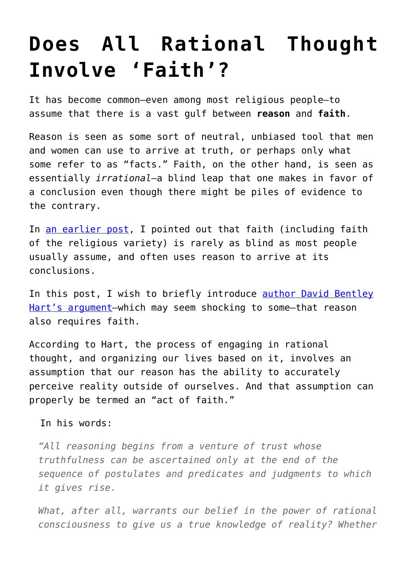## **[Does All Rational Thought](https://intellectualtakeout.org/2017/04/does-all-rational-thought-involve-faith/) [Involve 'Faith'?](https://intellectualtakeout.org/2017/04/does-all-rational-thought-involve-faith/)**

It has become common—even among most religious people—to assume that there is a vast gulf between **reason** and **faith**.

Reason is seen as some sort of neutral, unbiased tool that men and women can use to arrive at truth, or perhaps only what some refer to as "facts." Faith, on the other hand, is seen as essentially *irrational*—a blind leap that one makes in favor of a conclusion even though there might be piles of evidence to the contrary.

In [an earlier post,](https://www.intellectualtakeout.org/blog/faith-inescapable) I pointed out that faith (including faith of the religious variety) is rarely as blind as most people usually assume, and often uses reason to arrive at its conclusions.

In this post, I wish to briefly introduce [author David Bentley](https://www.firstthings.com/article/2015/03/reasons-faith) [Hart's argument](https://www.firstthings.com/article/2015/03/reasons-faith)-which may seem shocking to some-that reason also requires faith.

According to Hart, the process of engaging in rational thought, and organizing our lives based on it, involves an assumption that our reason has the ability to accurately perceive reality outside of ourselves. And that assumption can properly be termed an "act of faith."

## In his words:

*"All reasoning begins from a venture of trust whose truthfulness can be ascertained only at the end of the sequence of postulates and predicates and judgments to which it gives rise.*

*What, after all, warrants our belief in the power of rational consciousness to give us a true knowledge of reality? Whether*